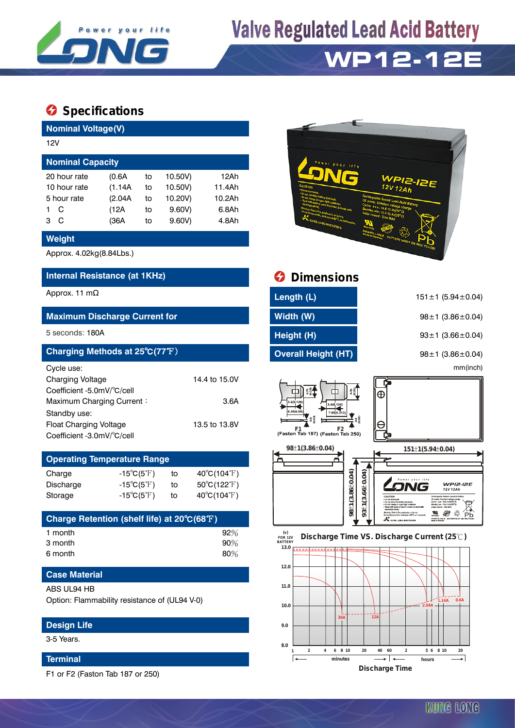

## **Valve Regulated Lead Acid Battery**

### **WP12-12E**

### **Specifications**

**Nominal Voltage(V)**

| 12V                     |   |         |    |         |        |  |  |  |
|-------------------------|---|---------|----|---------|--------|--|--|--|
| <b>Nominal Capacity</b> |   |         |    |         |        |  |  |  |
| 20 hour rate            |   | (0.6A)  | to | 10.50V) | 12Ah   |  |  |  |
| 10 hour rate            |   | (1.14A) | to | 10.50V) | 11.4Ah |  |  |  |
| 5 hour rate             |   | (2.04A) | to | 10.20V) | 10.2Ah |  |  |  |
|                         | C | (12A)   | to | 9.60V   | 6.8Ah  |  |  |  |
| 3                       | C | (36A    | to | 9.60V   | 4.8Ah  |  |  |  |
|                         |   |         |    |         |        |  |  |  |

#### **Weight**

Approx. 4.02kg(8.84Lbs.)

### **Internal Resistance (at 1KHz)**

| Charging Methods at 25°C(77°F) |               |
|--------------------------------|---------------|
| Cycle use:                     |               |
| <b>Charging Voltage</b>        | 14.4 to 15.0V |
| Coefficient -5.0mV/°C/cell     |               |
| Maximum Charging Current:      | 3.6A          |
| Standby use:                   |               |
| Float Charging Voltage         | 13.5 to 13.8V |
| Coefficient -3.0mV/°C/cell     |               |

| <b>Operating Temperature Range</b> |                            |    |                             |  |  |  |  |
|------------------------------------|----------------------------|----|-----------------------------|--|--|--|--|
| Charge                             | $-15^{\circ}C(5^{\circ}F)$ | tο | $40^{\circ}C(104^{\circ}F)$ |  |  |  |  |
| Discharge                          | $-15^{\circ}C(5^{\circ}F)$ | tο | 50°C(122°F)                 |  |  |  |  |
| Storage                            | $-15^{\circ}C(5^{\circ}F)$ | tο | $40^{\circ}C(104^{\circ}F)$ |  |  |  |  |

| Charge Retention (shelf life) at 20°C(68°F) |        |
|---------------------------------------------|--------|
| 1 month                                     | 92%    |
| 3 month                                     | $90\%$ |
| 6 month                                     | $80\%$ |

#### **Case Material**

ABS UL94 HB

Option: Flammability resistance of (UL94 V-0)

#### **Design Life**

3-5 Years.

#### **Terminal**

F1 or F2 (Faston Tab 187 or 250)



| Internal Resistance (at 1KHz)        |               | <b>O</b> Dimensions        |                               |  |  |  |  |
|--------------------------------------|---------------|----------------------------|-------------------------------|--|--|--|--|
| Approx. 11 mΩ                        |               | Length (L)                 | $151 \pm 1$ (5.94 $\pm$ 0.04) |  |  |  |  |
| <b>Maximum Discharge Current for</b> |               | Width (W)                  | $98 \pm 1$ (3.86 $\pm$ 0.04)  |  |  |  |  |
| 5 seconds: 180A                      |               | Height (H)                 | $93 \pm 1$ (3.66 $\pm$ 0.04)  |  |  |  |  |
| Charging Methods at 25°C(77°F)       |               | <b>Overall Height (HT)</b> | $98 \pm 1$ (3.86 $\pm$ 0.04)  |  |  |  |  |
| Cycle use:                           |               |                            | mm(inch)                      |  |  |  |  |
| Charging Voltage                     | 14.4 to 15.0V |                            |                               |  |  |  |  |

 $\oplus$ 

е